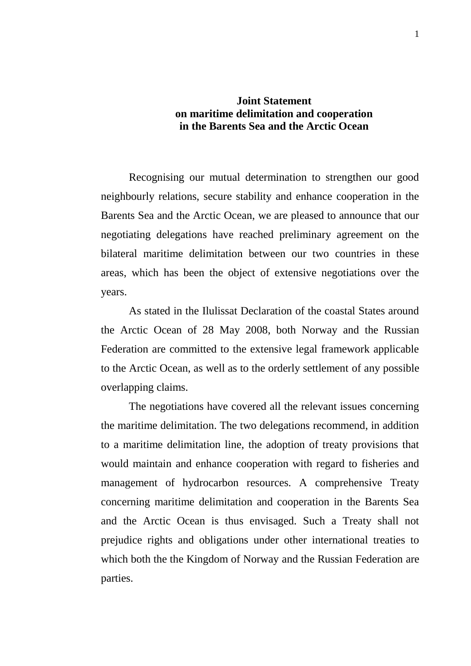## **Joint Statement on maritime delimitation and cooperation in the Barents Sea and the Arctic Ocean**

Recognising our mutual determination to strengthen our good neighbourly relations, secure stability and enhance cooperation in the Barents Sea and the Arctic Ocean, we are pleased to announce that our negotiating delegations have reached preliminary agreement on the bilateral maritime delimitation between our two countries in these areas, which has been the object of extensive negotiations over the years.

As stated in the Ilulissat Declaration of the coastal States around the Arctic Ocean of 28 May 2008, both Norway and the Russian Federation are committed to the extensive legal framework applicable to the Arctic Ocean, as well as to the orderly settlement of any possible overlapping claims.

The negotiations have covered all the relevant issues concerning the maritime delimitation. The two delegations recommend, in addition to a maritime delimitation line, the adoption of treaty provisions that would maintain and enhance cooperation with regard to fisheries and management of hydrocarbon resources. A comprehensive Treaty concerning maritime delimitation and cooperation in the Barents Sea and the Arctic Ocean is thus envisaged. Such a Treaty shall not prejudice rights and obligations under other international treaties to which both the the Kingdom of Norway and the Russian Federation are parties.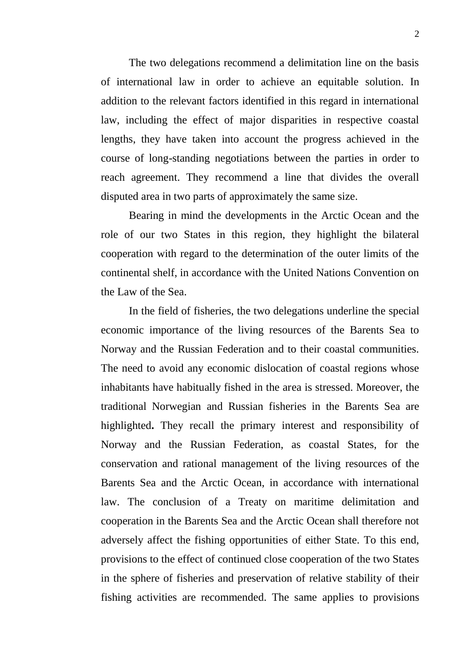The two delegations recommend a delimitation line on the basis of international law in order to achieve an equitable solution. In addition to the relevant factors identified in this regard in international law, including the effect of major disparities in respective coastal lengths, they have taken into account the progress achieved in the course of long-standing negotiations between the parties in order to reach agreement. They recommend a line that divides the overall disputed area in two parts of approximately the same size.

Bearing in mind the developments in the Arctic Ocean and the role of our two States in this region, they highlight the bilateral cooperation with regard to the determination of the outer limits of the continental shelf, in accordance with the United Nations Convention on the Law of the Sea.

In the field of fisheries, the two delegations underline the special economic importance of the living resources of the Barents Sea to Norway and the Russian Federation and to their coastal communities. The need to avoid any economic dislocation of coastal regions whose inhabitants have habitually fished in the area is stressed. Moreover, the traditional Norwegian and Russian fisheries in the Barents Sea are highlighted**.** They recall the primary interest and responsibility of Norway and the Russian Federation, as coastal States, for the conservation and rational management of the living resources of the Barents Sea and the Arctic Ocean, in accordance with international law. The conclusion of a Treaty on maritime delimitation and cooperation in the Barents Sea and the Arctic Ocean shall therefore not adversely affect the fishing opportunities of either State. To this end, provisions to the effect of continued close cooperation of the two States in the sphere of fisheries and preservation of relative stability of their fishing activities are recommended. The same applies to provisions